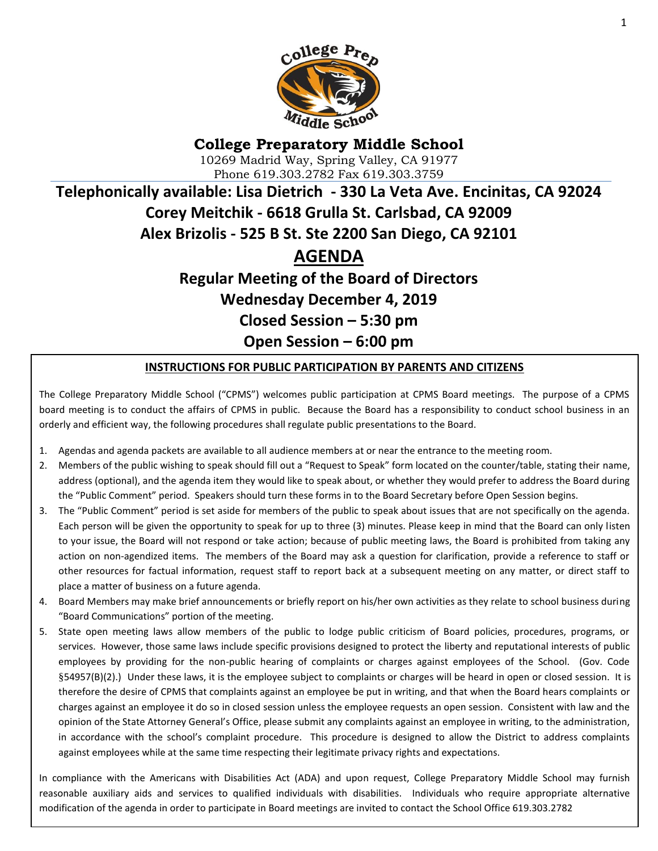

# **College Preparatory Middle School** 10269 Madrid Way, Spring Valley, CA 91977 Phone 619.303.2782 Fax 619.303.3759 **Telephonically available: Lisa Dietrich - 330 La Veta Ave. Encinitas, CA 92024 Corey Meitchik - 6618 Grulla St. Carlsbad, CA 92009 Alex Brizolis - 525 B St. Ste 2200 San Diego, CA 92101 AGENDA**

# **Regular Meeting of the Board of Directors Wednesday December 4, 2019 Closed Session – 5:30 pm Open Session – 6:00 pm**

#### **INSTRUCTIONS FOR PUBLIC PARTICIPATION BY PARENTS AND CITIZENS**

The College Preparatory Middle School ("CPMS") welcomes public participation at CPMS Board meetings. The purpose of a CPMS board meeting is to conduct the affairs of CPMS in public. Because the Board has a responsibility to conduct school business in an orderly and efficient way, the following procedures shall regulate public presentations to the Board.

- 1. Agendas and agenda packets are available to all audience members at or near the entrance to the meeting room.
- 2. Members of the public wishing to speak should fill out a "Request to Speak" form located on the counter/table, stating their name, address (optional), and the agenda item they would like to speak about, or whether they would prefer to address the Board during the "Public Comment" period. Speakers should turn these forms in to the Board Secretary before Open Session begins.
- 3. The "Public Comment" period is set aside for members of the public to speak about issues that are not specifically on the agenda. Each person will be given the opportunity to speak for up to three (3) minutes. Please keep in mind that the Board can only listen to your issue, the Board will not respond or take action; because of public meeting laws, the Board is prohibited from taking any action on non-agendized items. The members of the Board may ask a question for clarification, provide a reference to staff or other resources for factual information, request staff to report back at a subsequent meeting on any matter, or direct staff to place a matter of business on a future agenda.
- 4. Board Members may make brief announcements or briefly report on his/her own activities as they relate to school business during "Board Communications" portion of the meeting.
- 5. State open meeting laws allow members of the public to lodge public criticism of Board policies, procedures, programs, or services. However, those same laws include specific provisions designed to protect the liberty and reputational interests of public employees by providing for the non-public hearing of complaints or charges against employees of the School. (Gov. Code §54957(B)(2).) Under these laws, it is the employee subject to complaints or charges will be heard in open or closed session. It is therefore the desire of CPMS that complaints against an employee be put in writing, and that when the Board hears complaints or charges against an employee it do so in closed session unless the employee requests an open session. Consistent with law and the opinion of the State Attorney General's Office, please submit any complaints against an employee in writing, to the administration, in accordance with the school's complaint procedure. This procedure is designed to allow the District to address complaints against employees while at the same time respecting their legitimate privacy rights and expectations.

modification of the agenda in order to participate in Board meetings are invited to contact the School Office 619.303.2782<br>| In compliance with the Americans with Disabilities Act (ADA) and upon request, College Preparatory Middle School may furnish reasonable auxiliary aids and services to qualified individuals with disabilities. Individuals who require appropriate alternative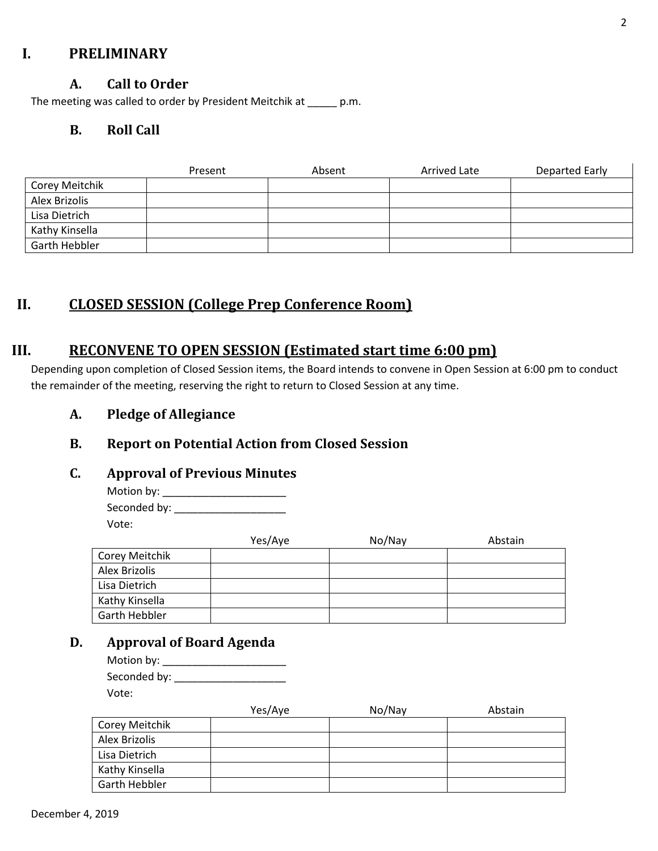### **I. PRELIMINARY**

#### **A. Call to Order**

The meeting was called to order by President Meitchik at \_\_\_\_\_ p.m.

#### **B. Roll Call**

|                | Present | Absent | Arrived Late | <b>Departed Early</b> |
|----------------|---------|--------|--------------|-----------------------|
| Corey Meitchik |         |        |              |                       |
| Alex Brizolis  |         |        |              |                       |
| Lisa Dietrich  |         |        |              |                       |
| Kathy Kinsella |         |        |              |                       |
| Garth Hebbler  |         |        |              |                       |

## **II. CLOSED SESSION (College Prep Conference Room)**

## **III. RECONVENE TO OPEN SESSION (Estimated start time 6:00 pm)**

Depending upon completion of Closed Session items, the Board intends to convene in Open Session at 6:00 pm to conduct the remainder of the meeting, reserving the right to return to Closed Session at any time.

**A. Pledge of Allegiance**

## **B. Report on Potential Action from Closed Session**

#### **C. Approval of Previous Minutes**

Motion by: \_\_\_\_\_\_\_\_\_\_\_\_\_\_\_\_\_\_\_\_\_ Seconded by: \_\_\_\_\_\_\_\_\_\_\_\_\_\_\_\_\_\_\_ Vote:

|                | Yes/Aye | No/Nay | Abstain |
|----------------|---------|--------|---------|
| Corey Meitchik |         |        |         |
| Alex Brizolis  |         |        |         |
| Lisa Dietrich  |         |        |         |
| Kathy Kinsella |         |        |         |
| Garth Hebbler  |         |        |         |

## **D. Approval of Board Agenda**

| Motion by:   |  |
|--------------|--|
| Seconded by: |  |
| Vote:        |  |

|                | Yes/Aye | No/Nay | Abstain |
|----------------|---------|--------|---------|
| Corey Meitchik |         |        |         |
| Alex Brizolis  |         |        |         |
| Lisa Dietrich  |         |        |         |
| Kathy Kinsella |         |        |         |
| Garth Hebbler  |         |        |         |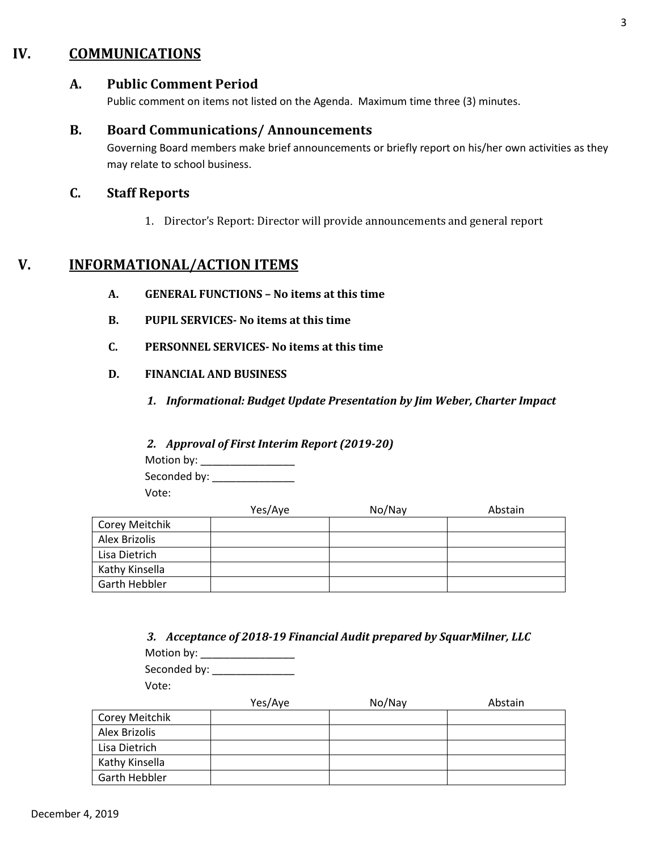## **IV. COMMUNICATIONS**

#### **A. Public Comment Period**

Public comment on items not listed on the Agenda. Maximum time three (3) minutes.

#### **B. Board Communications/ Announcements**

Governing Board members make brief announcements or briefly report on his/her own activities as they may relate to school business.

#### **C. Staff Reports**

1. Director's Report: Director will provide announcements and general report

## **V. INFORMATIONAL/ACTION ITEMS**

- **A. GENERAL FUNCTIONS – No items at this time**
- **B. PUPIL SERVICES- No items at this time**
- **C. PERSONNEL SERVICES- No items at this time**
- **D. FINANCIAL AND BUSINESS**
	- *1. Informational: Budget Update Presentation by Jim Weber, Charter Impact*
	- *2. Approval of First Interim Report (2019-20)*

Motion by: \_\_\_\_\_\_\_\_\_\_\_\_\_\_\_\_ Seconded by: \_\_\_\_\_\_\_\_\_\_\_\_\_\_

Vote:

|                | Yes/Aye | No/Nay | Abstain |
|----------------|---------|--------|---------|
| Corey Meitchik |         |        |         |
| Alex Brizolis  |         |        |         |
| Lisa Dietrich  |         |        |         |
| Kathy Kinsella |         |        |         |
| Garth Hebbler  |         |        |         |

|                |         | 3. Acceptance of 2018-19 Financial Audit prepared by SquarMilner, LLC |         |
|----------------|---------|-----------------------------------------------------------------------|---------|
| Motion by:     |         |                                                                       |         |
| Seconded by:   |         |                                                                       |         |
| Vote:          |         |                                                                       |         |
|                | Yes/Aye | No/Nay                                                                | Abstain |
| Corey Meitchik |         |                                                                       |         |
| Alex Brizolis  |         |                                                                       |         |
| Lisa Dietrich  |         |                                                                       |         |
| Kathy Kinsella |         |                                                                       |         |
| Garth Hebbler  |         |                                                                       |         |